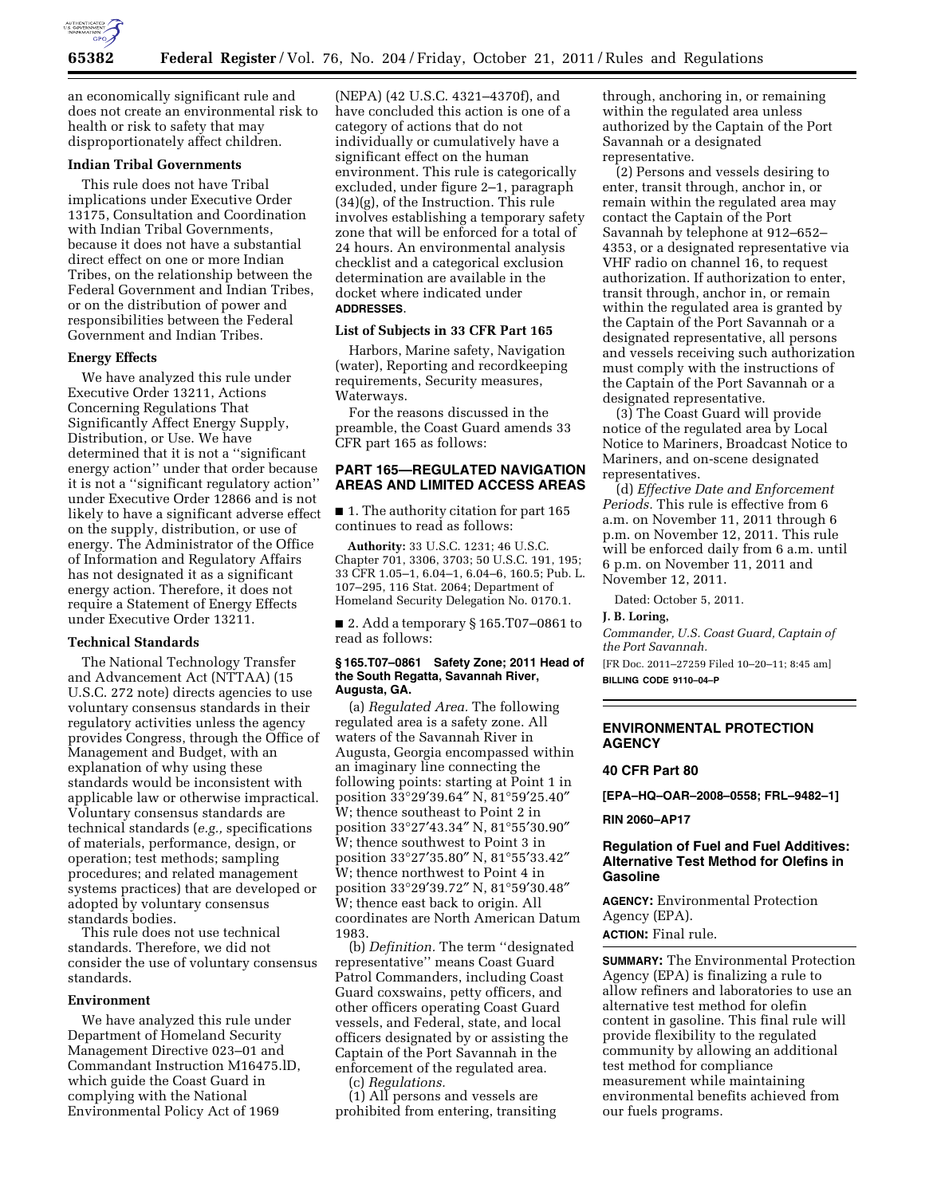

an economically significant rule and does not create an environmental risk to health or risk to safety that may disproportionately affect children.

## **Indian Tribal Governments**

This rule does not have Tribal implications under Executive Order 13175, Consultation and Coordination with Indian Tribal Governments, because it does not have a substantial direct effect on one or more Indian Tribes, on the relationship between the Federal Government and Indian Tribes, or on the distribution of power and responsibilities between the Federal Government and Indian Tribes.

#### **Energy Effects**

We have analyzed this rule under Executive Order 13211, Actions Concerning Regulations That Significantly Affect Energy Supply, Distribution, or Use. We have determined that it is not a ''significant energy action'' under that order because it is not a ''significant regulatory action'' under Executive Order 12866 and is not likely to have a significant adverse effect on the supply, distribution, or use of energy. The Administrator of the Office of Information and Regulatory Affairs has not designated it as a significant energy action. Therefore, it does not require a Statement of Energy Effects under Executive Order 13211.

#### **Technical Standards**

The National Technology Transfer and Advancement Act (NTTAA) (15 U.S.C. 272 note) directs agencies to use voluntary consensus standards in their regulatory activities unless the agency provides Congress, through the Office of Management and Budget, with an explanation of why using these standards would be inconsistent with applicable law or otherwise impractical. Voluntary consensus standards are technical standards (*e.g.,* specifications of materials, performance, design, or operation; test methods; sampling procedures; and related management systems practices) that are developed or adopted by voluntary consensus standards bodies.

This rule does not use technical standards. Therefore, we did not consider the use of voluntary consensus standards.

## **Environment**

We have analyzed this rule under Department of Homeland Security Management Directive 023–01 and Commandant Instruction M16475.lD, which guide the Coast Guard in complying with the National Environmental Policy Act of 1969

(NEPA) (42 U.S.C. 4321–4370f), and have concluded this action is one of a category of actions that do not individually or cumulatively have a significant effect on the human environment. This rule is categorically excluded, under figure 2–1, paragraph (34)(g), of the Instruction. This rule involves establishing a temporary safety zone that will be enforced for a total of 24 hours. An environmental analysis checklist and a categorical exclusion determination are available in the docket where indicated under **ADDRESSES**.

## **List of Subjects in 33 CFR Part 165**

Harbors, Marine safety, Navigation (water), Reporting and recordkeeping requirements, Security measures, Waterways.

For the reasons discussed in the preamble, the Coast Guard amends 33 CFR part 165 as follows:

## **PART 165—REGULATED NAVIGATION AREAS AND LIMITED ACCESS AREAS**

■ 1. The authority citation for part 165 continues to read as follows:

**Authority:** 33 U.S.C. 1231; 46 U.S.C. Chapter 701, 3306, 3703; 50 U.S.C. 191, 195; 33 CFR 1.05–1, 6.04–1, 6.04–6, 160.5; Pub. L. 107–295, 116 Stat. 2064; Department of Homeland Security Delegation No. 0170.1.

■ 2. Add a temporary § 165.T07-0861 to read as follows:

#### **§ 165.T07–0861 Safety Zone; 2011 Head of the South Regatta, Savannah River, Augusta, GA.**

(a) *Regulated Area.* The following regulated area is a safety zone. All waters of the Savannah River in Augusta, Georgia encompassed within an imaginary line connecting the following points: starting at Point 1 in position 33°29′39.64″ N, 81°59′25.40″ W; thence southeast to Point 2 in position 33°27′43.34″ N, 81°55′30.90″ W; thence southwest to Point 3 in position 33°27′35.80″ N, 81°55′33.42″ W; thence northwest to Point 4 in position 33°29′39.72″ N, 81°59′30.48″ W; thence east back to origin. All coordinates are North American Datum 1983.

(b) *Definition.* The term ''designated representative'' means Coast Guard Patrol Commanders, including Coast Guard coxswains, petty officers, and other officers operating Coast Guard vessels, and Federal, state, and local officers designated by or assisting the Captain of the Port Savannah in the enforcement of the regulated area.

(c) *Regulations.* 

(1) All persons and vessels are prohibited from entering, transiting

through, anchoring in, or remaining within the regulated area unless authorized by the Captain of the Port Savannah or a designated representative.

(2) Persons and vessels desiring to enter, transit through, anchor in, or remain within the regulated area may contact the Captain of the Port Savannah by telephone at 912–652– 4353, or a designated representative via VHF radio on channel 16, to request authorization. If authorization to enter, transit through, anchor in, or remain within the regulated area is granted by the Captain of the Port Savannah or a designated representative, all persons and vessels receiving such authorization must comply with the instructions of the Captain of the Port Savannah or a designated representative.

(3) The Coast Guard will provide notice of the regulated area by Local Notice to Mariners, Broadcast Notice to Mariners, and on-scene designated representatives.

(d) *Effective Date and Enforcement Periods.* This rule is effective from 6 a.m. on November 11, 2011 through 6 p.m. on November 12, 2011. This rule will be enforced daily from 6 a.m. until 6 p.m. on November 11, 2011 and November 12, 2011.

Dated: October 5, 2011.

**J. B. Loring,** 

*Commander, U.S. Coast Guard, Captain of the Port Savannah.* 

[FR Doc. 2011–27259 Filed 10–20–11; 8:45 am] **BILLING CODE 9110–04–P** 

### **ENVIRONMENTAL PROTECTION AGENCY**

#### **40 CFR Part 80**

**[EPA–HQ–OAR–2008–0558; FRL–9482–1]** 

**RIN 2060–AP17** 

## **Regulation of Fuel and Fuel Additives: Alternative Test Method for Olefins in Gasoline**

**AGENCY:** Environmental Protection Agency (EPA).

**ACTION:** Final rule.

**SUMMARY:** The Environmental Protection Agency (EPA) is finalizing a rule to allow refiners and laboratories to use an alternative test method for olefin content in gasoline. This final rule will provide flexibility to the regulated community by allowing an additional test method for compliance measurement while maintaining environmental benefits achieved from our fuels programs.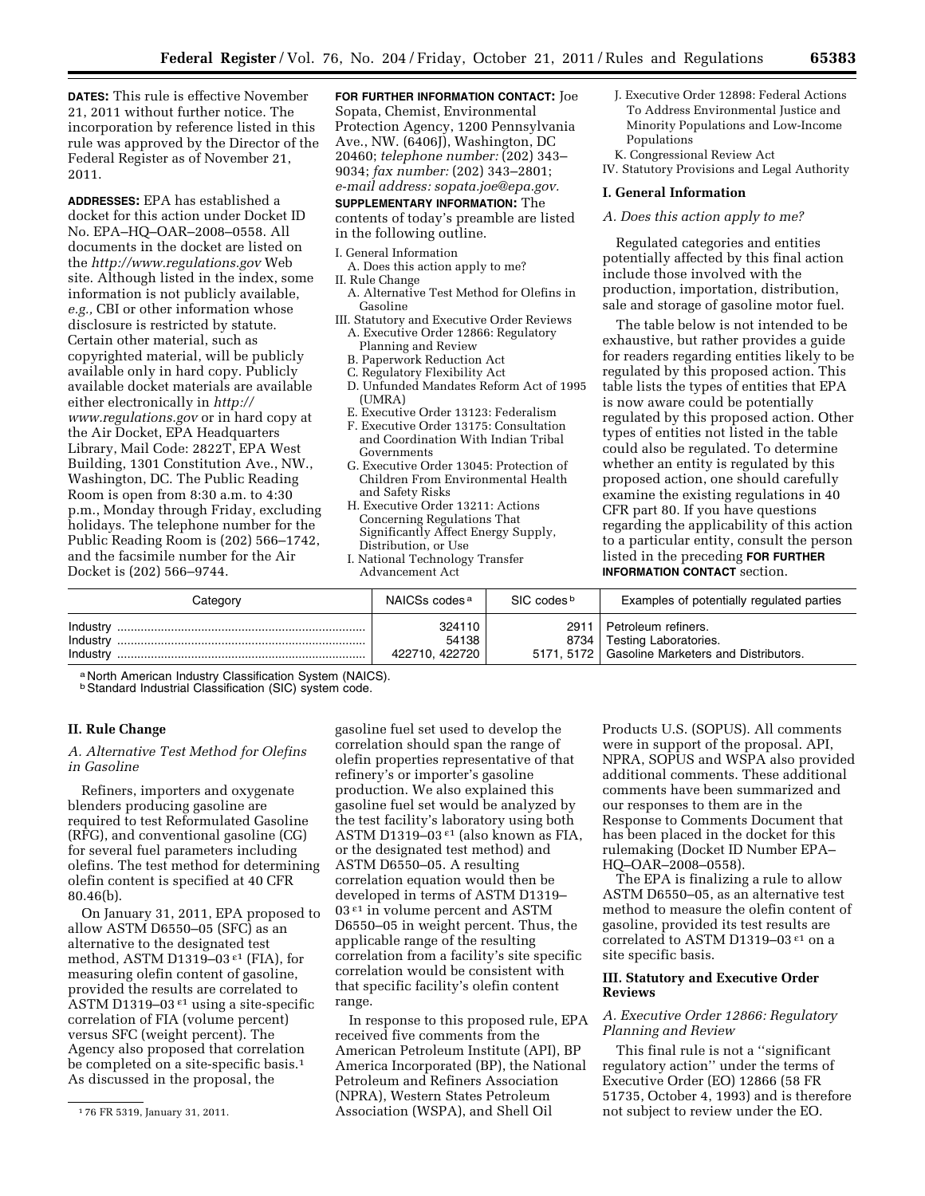**DATES:** This rule is effective November 21, 2011 without further notice. The incorporation by reference listed in this rule was approved by the Director of the Federal Register as of November 21, 2011.

**ADDRESSES:** EPA has established a docket for this action under Docket ID No. EPA–HQ–OAR–2008–0558. All documents in the docket are listed on the *<http://www.regulations.gov>*Web site. Although listed in the index, some information is not publicly available, *e.g.,* CBI or other information whose disclosure is restricted by statute. Certain other material, such as copyrighted material, will be publicly available only in hard copy. Publicly available docket materials are available either electronically in *[http://](http://www.regulations.gov)  [www.regulations.gov](http://www.regulations.gov)* or in hard copy at the Air Docket, EPA Headquarters Library, Mail Code: 2822T, EPA West Building, 1301 Constitution Ave., NW., Washington, DC. The Public Reading Room is open from 8:30 a.m. to 4:30 p.m., Monday through Friday, excluding holidays. The telephone number for the Public Reading Room is (202) 566–1742, and the facsimile number for the Air Docket is (202) 566–9744.

**FOR FURTHER INFORMATION CONTACT:** Joe Sopata, Chemist, Environmental Protection Agency, 1200 Pennsylvania Ave., NW. (6406J), Washington, DC 20460; *telephone number:* (202) 343– 9034; *fax number:* (202) 343–2801; *e-mail address: [sopata.joe@epa.gov.](mailto:sopata.joe@epa.gov)*  **SUPPLEMENTARY INFORMATION:** The

contents of today's preamble are listed

## in the following outline.

- I. General Information A. Does this action apply to me?
- II. Rule Change
- A. Alternative Test Method for Olefins in Gasoline
- III. Statutory and Executive Order Reviews A. Executive Order 12866: Regulatory Planning and Review
	- B. Paperwork Reduction Act
	- C. Regulatory Flexibility Act
	- D. Unfunded Mandates Reform Act of 1995 (UMRA)
	- E. Executive Order 13123: Federalism
	- F. Executive Order 13175: Consultation and Coordination With Indian Tribal Governments
	- G. Executive Order 13045: Protection of Children From Environmental Health and Safety Risks
	- H. Executive Order 13211: Actions Concerning Regulations That Significantly Affect Energy Supply, Distribution, or Use
	- I. National Technology Transfer Advancement Act

J. Executive Order 12898: Federal Actions To Address Environmental Justice and Minority Populations and Low-Income Populations

K. Congressional Review Act IV. Statutory Provisions and Legal Authority

## **I. General Information**

## *A. Does this action apply to me?*

Regulated categories and entities potentially affected by this final action include those involved with the production, importation, distribution, sale and storage of gasoline motor fuel.

The table below is not intended to be exhaustive, but rather provides a guide for readers regarding entities likely to be regulated by this proposed action. This table lists the types of entities that EPA is now aware could be potentially regulated by this proposed action. Other types of entities not listed in the table could also be regulated. To determine whether an entity is regulated by this proposed action, one should carefully examine the existing regulations in 40 CFR part 80. If you have questions regarding the applicability of this action to a particular entity, consult the person listed in the preceding **FOR FURTHER INFORMATION CONTACT** section.

| Category                         | NAICSs codes <sup>a</sup>         | SIC codes <sup>b</sup> | Examples of potentially regulated parties                                                                |
|----------------------------------|-----------------------------------|------------------------|----------------------------------------------------------------------------------------------------------|
| Industry<br>Industry<br>Industry | 324110<br>54138<br>422710, 422720 | 2911                   | Petroleum refiners.<br>8734   Testing Laboratories.<br>5171, 5172   Gasoline Marketers and Distributors. |

a North American Industry Classification System (NAICS).

**b Standard Industrial Classification (SIC) system code.** 

## **II. Rule Change**

## *A. Alternative Test Method for Olefins in Gasoline*

Refiners, importers and oxygenate blenders producing gasoline are required to test Reformulated Gasoline (RFG), and conventional gasoline (CG) for several fuel parameters including olefins. The test method for determining olefin content is specified at 40 CFR 80.46(b).

On January 31, 2011, EPA proposed to allow ASTM D6550–05 (SFC) as an alternative to the designated test method, ASTM D1319–03 $\epsilon$ <sup>1</sup> (FIA), for measuring olefin content of gasoline, provided the results are correlated to ASTM D1319–03 $\epsilon$ <sup>1</sup> using a site-specific correlation of FIA (volume percent) versus SFC (weight percent). The Agency also proposed that correlation be completed on a site-specific basis.<sup>1</sup> As discussed in the proposal, the

gasoline fuel set used to develop the correlation should span the range of olefin properties representative of that refinery's or importer's gasoline production. We also explained this gasoline fuel set would be analyzed by the test facility's laboratory using both ASTM D1319-03 $\epsilon$ <sup>1</sup> (also known as FIA, or the designated test method) and ASTM D6550–05. A resulting correlation equation would then be developed in terms of ASTM D1319– 03 $\epsilon$ <sup>1</sup> in volume percent and ASTM D6550–05 in weight percent. Thus, the applicable range of the resulting correlation from a facility's site specific correlation would be consistent with that specific facility's olefin content range.

In response to this proposed rule, EPA received five comments from the American Petroleum Institute (API), BP America Incorporated (BP), the National Petroleum and Refiners Association (NPRA), Western States Petroleum Association (WSPA), and Shell Oil

Products U.S. (SOPUS). All comments were in support of the proposal. API, NPRA, SOPUS and WSPA also provided additional comments. These additional comments have been summarized and our responses to them are in the Response to Comments Document that has been placed in the docket for this rulemaking (Docket ID Number EPA– HQ–OAR–2008–0558).

The EPA is finalizing a rule to allow ASTM D6550–05, as an alternative test method to measure the olefin content of gasoline, provided its test results are correlated to ASTM D1319–03 ε1 on a site specific basis.

## **III. Statutory and Executive Order Reviews**

## *A. Executive Order 12866: Regulatory Planning and Review*

This final rule is not a ''significant regulatory action'' under the terms of Executive Order (EO) 12866 (58 FR 51735, October 4, 1993) and is therefore not subject to review under the EO.

<sup>1</sup> 76 FR 5319, January 31, 2011.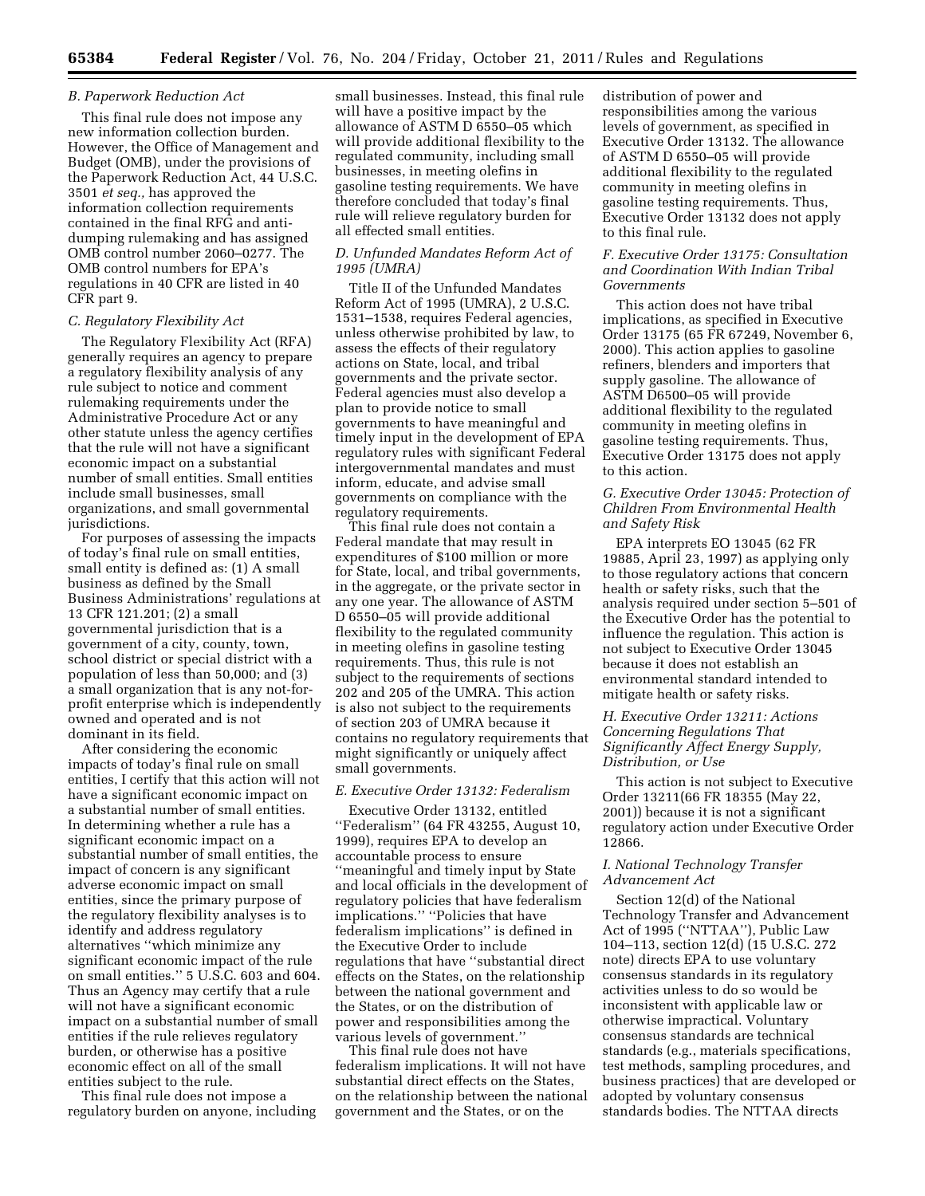#### *B. Paperwork Reduction Act*

This final rule does not impose any new information collection burden. However, the Office of Management and Budget (OMB), under the provisions of the Paperwork Reduction Act, 44 U.S.C. 3501 *et seq.,* has approved the information collection requirements contained in the final RFG and antidumping rulemaking and has assigned OMB control number 2060–0277. The OMB control numbers for EPA's regulations in 40 CFR are listed in 40 CFR part 9.

### *C. Regulatory Flexibility Act*

The Regulatory Flexibility Act (RFA) generally requires an agency to prepare a regulatory flexibility analysis of any rule subject to notice and comment rulemaking requirements under the Administrative Procedure Act or any other statute unless the agency certifies that the rule will not have a significant economic impact on a substantial number of small entities. Small entities include small businesses, small organizations, and small governmental jurisdictions.

For purposes of assessing the impacts of today's final rule on small entities, small entity is defined as: (1) A small business as defined by the Small Business Administrations' regulations at 13 CFR 121.201; (2) a small governmental jurisdiction that is a government of a city, county, town, school district or special district with a population of less than 50,000; and (3) a small organization that is any not-forprofit enterprise which is independently owned and operated and is not dominant in its field.

After considering the economic impacts of today's final rule on small entities, I certify that this action will not have a significant economic impact on a substantial number of small entities. In determining whether a rule has a significant economic impact on a substantial number of small entities, the impact of concern is any significant adverse economic impact on small entities, since the primary purpose of the regulatory flexibility analyses is to identify and address regulatory alternatives ''which minimize any significant economic impact of the rule on small entities.'' 5 U.S.C. 603 and 604. Thus an Agency may certify that a rule will not have a significant economic impact on a substantial number of small entities if the rule relieves regulatory burden, or otherwise has a positive economic effect on all of the small entities subject to the rule.

This final rule does not impose a regulatory burden on anyone, including small businesses. Instead, this final rule will have a positive impact by the allowance of ASTM D 6550–05 which will provide additional flexibility to the regulated community, including small businesses, in meeting olefins in gasoline testing requirements. We have therefore concluded that today's final rule will relieve regulatory burden for all effected small entities.

#### *D. Unfunded Mandates Reform Act of 1995 (UMRA)*

Title II of the Unfunded Mandates Reform Act of 1995 (UMRA), 2 U.S.C. 1531–1538, requires Federal agencies, unless otherwise prohibited by law, to assess the effects of their regulatory actions on State, local, and tribal governments and the private sector. Federal agencies must also develop a plan to provide notice to small governments to have meaningful and timely input in the development of EPA regulatory rules with significant Federal intergovernmental mandates and must inform, educate, and advise small governments on compliance with the regulatory requirements.

This final rule does not contain a Federal mandate that may result in expenditures of \$100 million or more for State, local, and tribal governments, in the aggregate, or the private sector in any one year. The allowance of ASTM D 6550–05 will provide additional flexibility to the regulated community in meeting olefins in gasoline testing requirements. Thus, this rule is not subject to the requirements of sections 202 and 205 of the UMRA. This action is also not subject to the requirements of section 203 of UMRA because it contains no regulatory requirements that might significantly or uniquely affect small governments.

### *E. Executive Order 13132: Federalism*

Executive Order 13132, entitled ''Federalism'' (64 FR 43255, August 10, 1999), requires EPA to develop an accountable process to ensure ''meaningful and timely input by State and local officials in the development of regulatory policies that have federalism implications.'' ''Policies that have federalism implications'' is defined in the Executive Order to include regulations that have ''substantial direct effects on the States, on the relationship between the national government and the States, or on the distribution of power and responsibilities among the various levels of government.''

This final rule does not have federalism implications. It will not have substantial direct effects on the States, on the relationship between the national government and the States, or on the

distribution of power and responsibilities among the various levels of government, as specified in Executive Order 13132. The allowance of ASTM D 6550–05 will provide additional flexibility to the regulated community in meeting olefins in gasoline testing requirements. Thus, Executive Order 13132 does not apply to this final rule.

## *F. Executive Order 13175: Consultation and Coordination With Indian Tribal Governments*

This action does not have tribal implications, as specified in Executive Order 13175 (65 FR 67249, November 6, 2000). This action applies to gasoline refiners, blenders and importers that supply gasoline. The allowance of ASTM D6500–05 will provide additional flexibility to the regulated community in meeting olefins in gasoline testing requirements. Thus, Executive Order 13175 does not apply to this action.

## *G. Executive Order 13045: Protection of Children From Environmental Health and Safety Risk*

EPA interprets EO 13045 (62 FR 19885, April 23, 1997) as applying only to those regulatory actions that concern health or safety risks, such that the analysis required under section 5–501 of the Executive Order has the potential to influence the regulation. This action is not subject to Executive Order 13045 because it does not establish an environmental standard intended to mitigate health or safety risks.

## *H. Executive Order 13211: Actions Concerning Regulations That Significantly Affect Energy Supply, Distribution, or Use*

This action is not subject to Executive Order 13211(66 FR 18355 (May 22, 2001)) because it is not a significant regulatory action under Executive Order 12866.

#### *I. National Technology Transfer Advancement Act*

Section 12(d) of the National Technology Transfer and Advancement Act of 1995 (''NTTAA''), Public Law 104–113, section 12(d) (15 U.S.C. 272 note) directs EPA to use voluntary consensus standards in its regulatory activities unless to do so would be inconsistent with applicable law or otherwise impractical. Voluntary consensus standards are technical standards (e.g., materials specifications, test methods, sampling procedures, and business practices) that are developed or adopted by voluntary consensus standards bodies. The NTTAA directs